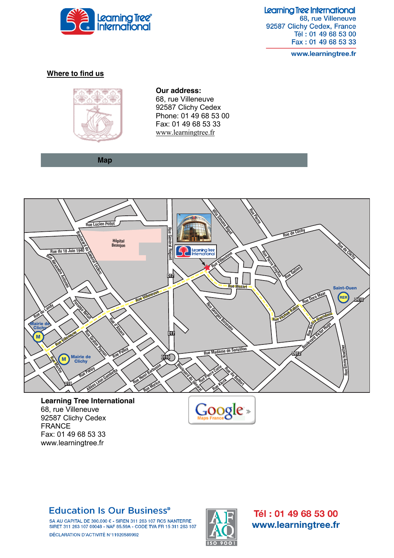

Learning Tree International 68, rue Villeneuve 92587 Clichy Cedex, France Tél: 01 49 68 53 00 Fax: 01 49 68 53 33

www.learningtree.fr

#### **Where to find us**



**Our address:** 68, rue Villeneuve 92587 Clichy Cedex Phone: 01 49 68 53 00 Fax: 01 49 68 53 33 [www.learningtree.fr](http://www.learningtree.fr/)

 **Map**



**Learning Tree International** 68, rue Villeneuve 92587 Clichy Cedex FRANCE Fax: 01 49 68 53 33 www.learningtree.fr



## **Education Is Our Business®**

SA AU CAPITAL DE 300.000 € - SIREN 311 263 107 RCS NANTERRE SIRET 311 263 107 00048 - NAF 85.59A - CODE TVA FR 15 311 263 107 DÉCLARATION D'ACTIVITÉ N°11920589992



Tél: 01 49 68 53 00 www.learningtree.fr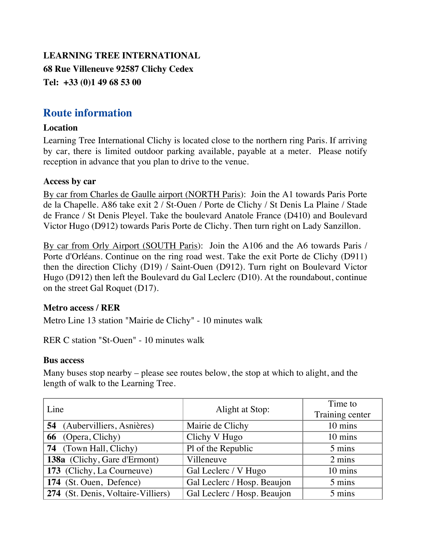# **LEARNING TREE INTERNATIONAL 68 Rue Villeneuve 92587 Clichy Cedex Tel: +33 (0)1 49 68 53 00**

# **Route information**

### **Location**

Learning Tree International Clichy is located close to the northern ring Paris. If arriving by car, there is limited outdoor parking available, payable at a meter. Please notify reception in advance that you plan to drive to the venue.

#### **Access by car**

By car from Charles de Gaulle airport (NORTH Paris): Join the A1 towards Paris Porte de la Chapelle. A86 take exit 2 / St-Ouen / Porte de Clichy / St Denis La Plaine / Stade de France / St Denis Pleyel. Take the boulevard Anatole France (D410) and Boulevard Victor Hugo (D912) towards Paris Porte de Clichy. Then turn right on Lady Sanzillon.

By car from Orly Airport (SOUTH Paris): Join the A106 and the A6 towards Paris / Porte d'Orléans. Continue on the ring road west. Take the exit Porte de Clichy (D911) then the direction Clichy (D19) / Saint-Ouen (D912). Turn right on Boulevard Victor Hugo (D912) then left the Boulevard du Gal Leclerc (D10). At the roundabout, continue on the street Gal Roquet (D17).

### **Metro access / RER**

Metro Line 13 station "Mairie de Clichy" - 10 minutes walk

RER C station "St-Ouen" - 10 minutes walk

#### **Bus access**

Many buses stop nearby – please see routes below, the stop at which to alight, and the length of walk to the Learning Tree.

| Line                               | Alight at Stop:             | Time to         |
|------------------------------------|-----------------------------|-----------------|
|                                    |                             | Training center |
| 54 (Aubervilliers, Asnières)       | Mairie de Clichy            | 10 mins         |
| 66 (Opera, Clichy)                 | Clichy V Hugo               | 10 mins         |
| 74 (Town Hall, Clichy)             | Pl of the Republic          | 5 mins          |
| 138a (Clichy, Gare d'Ermont)       | Villeneuve                  | 2 mins          |
| 173 (Clichy, La Courneuve)         | Gal Leclerc / V Hugo        | 10 mins         |
| 174 (St. Ouen, Defence)            | Gal Leclerc / Hosp. Beaujon | 5 mins          |
| 274 (St. Denis, Voltaire-Villiers) | Gal Leclerc / Hosp. Beaujon | 5 mins          |